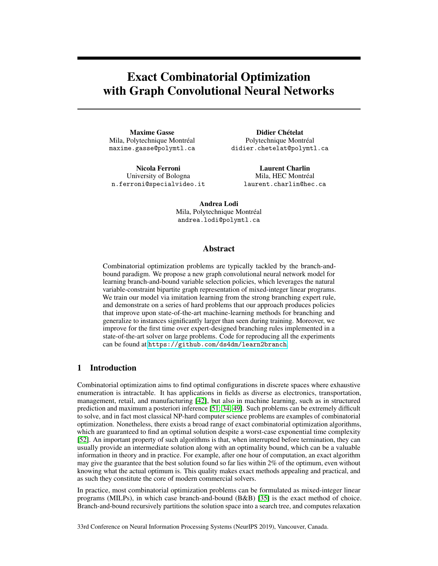# Exact Combinatorial Optimization with Graph Convolutional Neural Networks

Maxime Gasse Mila, Polytechnique Montréal maxime.gasse@polymtl.ca

Nicola Ferroni University of Bologna n.ferroni@specialvideo.it

Didier Chételat Polytechnique Montréal didier.chetelat@polymtl.ca

> Laurent Charlin Mila, HEC Montréal laurent.charlin@hec.ca

Andrea Lodi Mila, Polytechnique Montréal andrea.lodi@polymtl.ca

## Abstract

Combinatorial optimization problems are typically tackled by the branch-andbound paradigm. We propose a new graph convolutional neural network model for learning branch-and-bound variable selection policies, which leverages the natural variable-constraint bipartite graph representation of mixed-integer linear programs. We train our model via imitation learning from the strong branching expert rule, and demonstrate on a series of hard problems that our approach produces policies that improve upon state-of-the-art machine-learning methods for branching and generalize to instances significantly larger than seen during training. Moreover, we improve for the first time over expert-designed branching rules implemented in a state-of-the-art solver on large problems. Code for reproducing all the experiments can be found at <https://github.com/ds4dm/learn2branch>.

## 1 Introduction

Combinatorial optimization aims to find optimal configurations in discrete spaces where exhaustive enumeration is intractable. It has applications in fields as diverse as electronics, transportation, management, retail, and manufacturing [42], but also in machine learning, such as in structured prediction and maximum a posteriori inference [51; 34; 49]. Such problems can be extremely difficult to solve, and in fact most classical NP-hard computer science problems are examples of combinatorial optimization. Nonetheless, there exists a broad range of exact combinatorial optimization algorithms, which are guaranteed to find an optimal solution despite a worst-case exponential time complexity [52]. An important property of such algorithms is that, when interrupted before termination, they can usually provide an intermediate solution along with an optimality bound, which can be a valuable information in theory and in practice. For example, after one hour of computation, an exact algorithm may give the guarantee that the best solution found so far lies within 2% of the optimum, even without knowing what the actual optimum is. This quality makes exact methods appealing and practical, and as such they constitute the core of modern commercial solvers.

In practice, most combinatorial optimization problems can be formulated as mixed-integer linear programs (MILPs), in which case branch-and-bound (B&B) [35] is the exact method of choice. Branch-and-bound recursively partitions the solution space into a search tree, and computes relaxation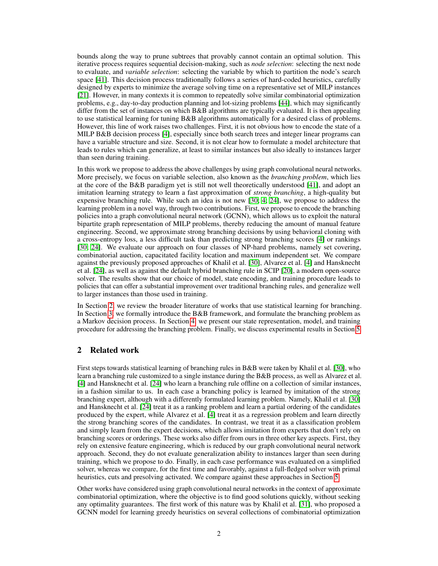bounds along the way to prune subtrees that provably cannot contain an optimal solution. This iterative process requires sequential decision-making, such as *node selection*: selecting the next node to evaluate, and *variable selection*: selecting the variable by which to partition the node's search space [41]. This decision process traditionally follows a series of hard-coded heuristics, carefully designed by experts to minimize the average solving time on a representative set of MILP instances [21]. However, in many contexts it is common to repeatedly solve similar combinatorial optimization problems, e.g., day-to-day production planning and lot-sizing problems [44], which may significantly differ from the set of instances on which B&B algorithms are typically evaluated. It is then appealing to use statistical learning for tuning B&B algorithms automatically for a desired class of problems. However, this line of work raises two challenges. First, it is not obvious how to encode the state of a MILP B&B decision process [4], especially since both search trees and integer linear programs can have a variable structure and size. Second, it is not clear how to formulate a model architecture that leads to rules which can generalize, at least to similar instances but also ideally to instances larger than seen during training.

In this work we propose to address the above challenges by using graph convolutional neural networks. More precisely, we focus on variable selection, also known as the *branching problem*, which lies at the core of the B&B paradigm yet is still not well theoretically understood [41], and adopt an imitation learning strategy to learn a fast approximation of *strong branching*, a high-quality but expensive branching rule. While such an idea is not new [30; 4; 24], we propose to address the learning problem in a novel way, through two contributions. First, we propose to encode the branching policies into a graph convolutional neural network (GCNN), which allows us to exploit the natural bipartite graph representation of MILP problems, thereby reducing the amount of manual feature engineering. Second, we approximate strong branching decisions by using behavioral cloning with a cross-entropy loss, a less difficult task than predicting strong branching scores [4] or rankings [30; 24]. We evaluate our approach on four classes of NP-hard problems, namely set covering, combinatorial auction, capacitated facility location and maximum independent set. We compare against the previously proposed approaches of Khalil et al. [30], Alvarez et al. [4] and Hansknecht et al. [24], as well as against the default hybrid branching rule in SCIP [20], a modern open-source solver. The results show that our choice of model, state encoding, and training procedure leads to policies that can offer a substantial improvement over traditional branching rules, and generalize well to larger instances than those used in training.

In Section 2, we review the broader literature of works that use statistical learning for branching. In Section 3, we formally introduce the B&B framework, and formulate the branching problem as a Markov decision process. In Section 4, we present our state representation, model, and training procedure for addressing the branching problem. Finally, we discuss experimental results in Section 5.

# 2 Related work

First steps towards statistical learning of branching rules in B&B were taken by Khalil et al. [30], who learn a branching rule customized to a single instance during the B&B process, as well as Alvarez et al. [4] and Hansknecht et al. [24] who learn a branching rule offline on a collection of similar instances, in a fashion similar to us. In each case a branching policy is learned by imitation of the strong branching expert, although with a differently formulated learning problem. Namely, Khalil et al. [30] and Hansknecht et al. [24] treat it as a ranking problem and learn a partial ordering of the candidates produced by the expert, while Alvarez et al. [4] treat it as a regression problem and learn directly the strong branching scores of the candidates. In contrast, we treat it as a classification problem and simply learn from the expert decisions, which allows imitation from experts that don't rely on branching scores or orderings. These works also differ from ours in three other key aspects. First, they rely on extensive feature engineering, which is reduced by our graph convolutional neural network approach. Second, they do not evaluate generalization ability to instances larger than seen during training, which we propose to do. Finally, in each case performance was evaluated on a simplified solver, whereas we compare, for the first time and favorably, against a full-fledged solver with primal heuristics, cuts and presolving activated. We compare against these approaches in Section 5.

Other works have considered using graph convolutional neural networks in the context of approximate combinatorial optimization, where the objective is to find good solutions quickly, without seeking any optimality guarantees. The first work of this nature was by Khalil et al. [31], who proposed a GCNN model for learning greedy heuristics on several collections of combinatorial optimization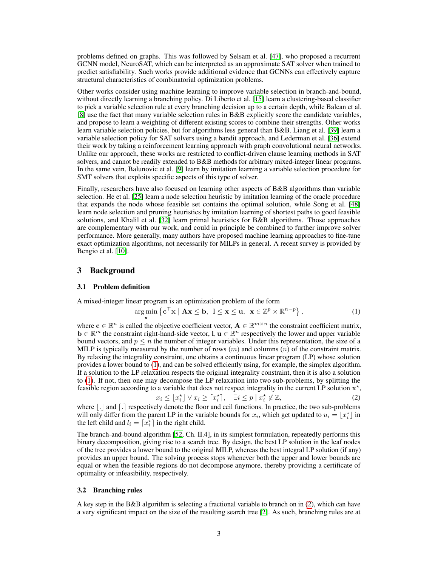problems defined on graphs. This was followed by Selsam et al. [47], who proposed a recurrent GCNN model, NeuroSAT, which can be interpreted as an approximate SAT solver when trained to predict satisfiability. Such works provide additional evidence that GCNNs can effectively capture structural characteristics of combinatorial optimization problems.

Other works consider using machine learning to improve variable selection in branch-and-bound, without directly learning a branching policy. Di Liberto et al. [15] learn a clustering-based classifier to pick a variable selection rule at every branching decision up to a certain depth, while Balcan et al. [8] use the fact that many variable selection rules in B&B explicitly score the candidate variables, and propose to learn a weighting of different existing scores to combine their strengths. Other works learn variable selection policies, but for algorithms less general than B&B. Liang et al. [39] learn a variable selection policy for SAT solvers using a bandit approach, and Lederman et al. [36] extend their work by taking a reinforcement learning approach with graph convolutional neural networks. Unlike our approach, these works are restricted to conflict-driven clause learning methods in SAT solvers, and cannot be readily extended to B&B methods for arbitrary mixed-integer linear programs. In the same vein, Balunovic et al. [9] learn by imitation learning a variable selection procedure for SMT solvers that exploits specific aspects of this type of solver.

Finally, researchers have also focused on learning other aspects of B&B algorithms than variable selection. He et al. [25] learn a node selection heuristic by imitation learning of the oracle procedure that expands the node whose feasible set contains the optimal solution, while Song et al. [48] learn node selection and pruning heuristics by imitation learning of shortest paths to good feasible solutions, and Khalil et al. [32] learn primal heuristics for B&B algorithms. Those approaches are complementary with our work, and could in principle be combined to further improve solver performance. More generally, many authors have proposed machine learning approaches to fine-tune exact optimization algorithms, not necessarily for MILPs in general. A recent survey is provided by Bengio et al. [10].

# 3 Background

#### 3.1 Problem definition

A mixed-integer linear program is an optimization problem of the form

$$
\underset{\mathbf{x}}{\arg\min} \left\{ \mathbf{c}^{\top} \mathbf{x} \mid \mathbf{A} \mathbf{x} \le \mathbf{b}, \ 1 \le \mathbf{x} \le \mathbf{u}, \ \mathbf{x} \in \mathbb{Z}^p \times \mathbb{R}^{n-p} \right\},\tag{1}
$$

where  $\mathbf{c} \in \mathbb{R}^n$  is called the objective coefficient vector,  $\mathbf{A} \in \mathbb{R}^{m \times n}$  the constraint coefficient matrix,  $\mathbf{b} \in \mathbb{R}^m$  the constraint right-hand-side vector,  $\mathbf{l}, \mathbf{u} \in \mathbb{R}^n$  respectively the lower and upper variable bound vectors, and  $p \leq n$  the number of integer variables. Under this representation, the size of a MILP is typically measured by the number of rows  $(m)$  and columns  $(n)$  of the constraint matrix. By relaxing the integrality constraint, one obtains a continuous linear program (LP) whose solution provides a lower bound to (1), and can be solved efficiently using, for example, the simplex algorithm. If a solution to the LP relaxation respects the original integrality constraint, then it is also a solution to (1). If not, then one may decompose the LP relaxation into two sub-problems, by splitting the feasible region according to a variable that does not respect integrality in the current LP solution  $x^*$ ,

$$
x_i \le \lfloor x_i^\star \rfloor \lor x_i \ge \lceil x_i^\star \rceil, \quad \exists i \le p \mid x_i^\star \notin \mathbb{Z}, \tag{2}
$$

where  $\lfloor . \rfloor$  and  $\lceil . \rceil$  respectively denote the floor and ceil functions. In practice, the two sub-problems will only differ from the parent LP in the variable bounds for  $x_i$ , which get updated to  $u_i = \lfloor x_i^* \rfloor$  in the left child and  $l_i = \lceil x_i^* \rceil$  in the right child.

The branch-and-bound algorithm [52, Ch. II.4], in its simplest formulation, repeatedly performs this binary decomposition, giving rise to a search tree. By design, the best LP solution in the leaf nodes of the tree provides a lower bound to the original MILP, whereas the best integral LP solution (if any) provides an upper bound. The solving process stops whenever both the upper and lower bounds are equal or when the feasible regions do not decompose anymore, thereby providing a certificate of optimality or infeasibility, respectively.

#### 3.2 Branching rules

A key step in the B&B algorithm is selecting a fractional variable to branch on in (2), which can have a very significant impact on the size of the resulting search tree [2]. As such, branching rules are at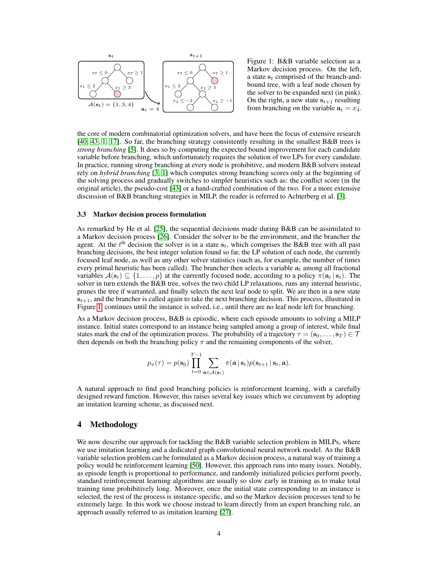

Figure 1: B&B variable selection as a Markov decision process. On the left, a state  $s_t$  comprised of the branch-andbound tree, with a leaf node chosen by the solver to be expanded next (in pink). On the right, a new state  $s_{t+1}$  resulting from branching on the variable  $a_t = x_4$ .

the core of modern combinatorial optimization solvers, and have been the focus of extensive research [40; 43; 1; 17]. So far, the branching strategy consistently resulting in the smallest B&B trees is *strong branching* [5]. It does so by computing the expected bound improvement for each candidate variable before branching, which unfortunately requires the solution of two LPs for every candidate. In practice, running strong branching at every node is prohibitive, and modern B&B solvers instead rely on *hybrid branching* [3; 1] which computes strong branching scores only at the beginning of the solving process and gradually switches to simpler heuristics such as: the conflict score (in the original article), the pseudo-cost [43] or a hand-crafted combination of the two. For a more extensive discussion of B&B branching strategies in MILP, the reader is referred to Achterberg et al. [3].

#### 3.3 Markov decision process formulation

As remarked by He et al. [25], the sequential decisions made during B&B can be assimilated to a Markov decision process [26]. Consider the solver to be the environment, and the brancher the agent. At the  $t<sup>th</sup>$  decision the solver is in a state  $s_t$ , which comprises the B&B tree with all past branching decisions, the best integer solution found so far, the LP solution of each node, the currently focused leaf node, as well as any other solver statistics (such as, for example, the number of times every primal heuristic has been called). The brancher then selects a variable  $a_t$  among all fractional variables  $A(\mathbf{s}_t) \subseteq \{1, \ldots, p\}$  at the currently focused node, according to a policy  $\pi(\mathbf{a}_t | \mathbf{s}_t)$ . The solver in turn extends the B&B tree, solves the two child LP relaxations, runs any internal heuristic, prunes the tree if warranted, and finally selects the next leaf node to split. We are then in a new state  $s_{t+1}$ , and the brancher is called again to take the next branching decision. This process, illustrated in Figure 1, continues until the instance is solved, i.e., until there are no leaf node left for branching.

As a Markov decision process, B&B is episodic, where each episode amounts to solving a MILP instance. Initial states correspond to an instance being sampled among a group of interest, while final states mark the end of the optimization process. The probability of a trajectory  $\tau = (s_0, \ldots, s_T) \in \mathcal{T}$ then depends on both the branching policy  $\pi$  and the remaining components of the solver,

$$
p_{\pi}(\tau) = p(\mathbf{s}_0) \prod_{t=0}^{T-1} \sum_{\mathbf{a} \in \mathcal{A}(\mathbf{s}_t)} \pi(\mathbf{a} \, | \, \mathbf{s}_t) p(\mathbf{s}_{t+1} \, | \, \mathbf{s}_t, \mathbf{a}).
$$

A natural approach to find good branching policies is reinforcement learning, with a carefully designed reward function. However, this raises several key issues which we circumvent by adopting an imitation learning scheme, as discussed next.

# 4 Methodology

We now describe our approach for tackling the B&B variable selection problem in MILPs, where we use imitation learning and a dedicated graph convolutional neural network model. As the B&B variable selection problem can be formulated as a Markov decision process, a natural way of training a policy would be reinforcement learning [50]. However, this approach runs into many issues. Notably, as episode length is proportional to performance, and randomly initialized policies perform poorly, standard reinforcement learning algorithms are usually so slow early in training as to make total training time prohibitively long. Moreover, once the initial state corresponding to an instance is selected, the rest of the process is instance-specific, and so the Markov decision processes tend to be extremely large. In this work we choose instead to learn directly from an expert branching rule, an approach usually referred to as imitation learning [27].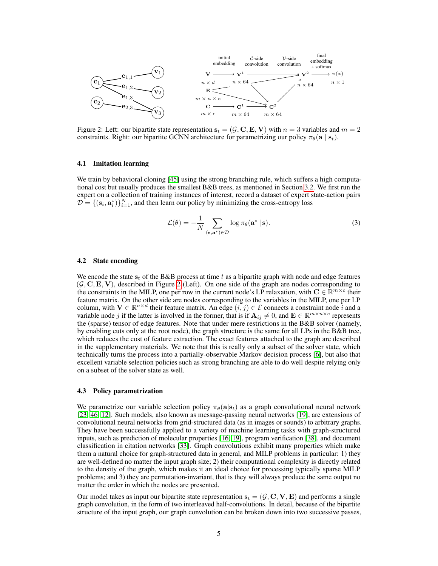

Figure 2: Left: our bipartite state representation  $s_t = (\mathcal{G}, \mathbf{C}, \mathbf{E}, \mathbf{V})$  with  $n = 3$  variables and  $m = 2$ constraints. Right: our bipartite GCNN architecture for parametrizing our policy  $\pi_{\theta}(\mathbf{a} | \mathbf{s}_t)$ .

#### 4.1 Imitation learning

We train by behavioral cloning [45] using the strong branching rule, which suffers a high computational cost but usually produces the smallest B&B trees, as mentioned in Section 3.2. We first run the expert on a collection of training instances of interest, record a dataset of expert state-action pairs  $D = \{ (\mathbf{s}_i, \mathbf{a}_i^*) \}_{i=1}^N$ , and then learn our policy by minimizing the cross-entropy loss

$$
\mathcal{L}(\theta) = -\frac{1}{N} \sum_{(\mathbf{s}, \mathbf{a}^*) \in \mathcal{D}} \log \pi_{\theta}(\mathbf{a}^* \mid \mathbf{s}). \tag{3}
$$

#### 4.2 State encoding

We encode the state  $s_t$  of the B&B process at time t as a bipartite graph with node and edge features  $(\mathcal{G}, \mathbf{C}, \mathbf{E}, \mathbf{V})$ , described in Figure 2 (Left). On one side of the graph are nodes corresponding to the constraints in the MILP, one per row in the current node's LP relaxation, with  $C \in \mathbb{R}^{m \times c}$  their feature matrix. On the other side are nodes corresponding to the variables in the MILP, one per LP column, with  $V \in \mathbb{R}^{n \times d}$  their feature matrix. An edge  $(i, j) \in \mathcal{E}$  connects a constraint node  $i$  and a variable node j if the latter is involved in the former, that is if  $A_{ij} \neq 0$ , and  $\mathbf{E} \in \mathbb{R}^{m \times n \times e}$  represents the (sparse) tensor of edge features. Note that under mere restrictions in the B&B solver (namely, by enabling cuts only at the root node), the graph structure is the same for all LPs in the B&B tree, which reduces the cost of feature extraction. The exact features attached to the graph are described in the supplementary materials. We note that this is really only a subset of the solver state, which technically turns the process into a partially-observable Markov decision process [6], but also that excellent variable selection policies such as strong branching are able to do well despite relying only on a subset of the solver state as well.

#### 4.3 Policy parametrization

We parametrize our variable selection policy  $\pi_{\theta}(\mathbf{a}|\mathbf{s}_t)$  as a graph convolutional neural network [23; 46; 12]. Such models, also known as message-passing neural networks [19], are extensions of convolutional neural networks from grid-structured data (as in images or sounds) to arbitrary graphs. They have been successfully applied to a variety of machine learning tasks with graph-structured inputs, such as prediction of molecular properties [16; 19], program verification [38], and document classification in citation networks [33]. Graph convolutions exhibit many properties which make them a natural choice for graph-structured data in general, and MILP problems in particular: 1) they are well-defined no matter the input graph size; 2) their computational complexity is directly related to the density of the graph, which makes it an ideal choice for processing typically sparse MILP problems; and 3) they are permutation-invariant, that is they will always produce the same output no matter the order in which the nodes are presented.

Our model takes as input our bipartite state representation  $s_t = (\mathcal{G}, \mathbf{C}, \mathbf{V}, \mathbf{E})$  and performs a single graph convolution, in the form of two interleaved half-convolutions. In detail, because of the bipartite structure of the input graph, our graph convolution can be broken down into two successive passes,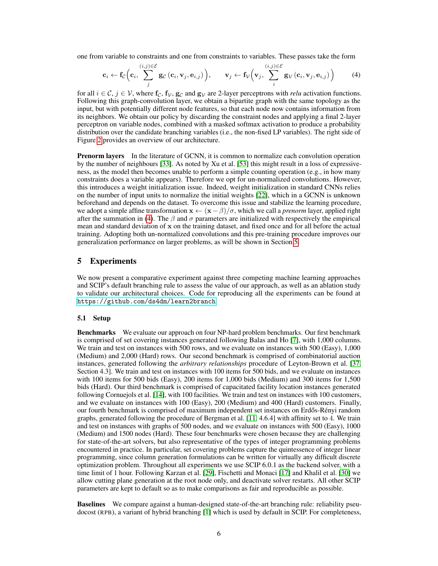one from variable to constraints and one from constraints to variables. These passes take the form

$$
\mathbf{c}_{i} \leftarrow \mathbf{f}_{\mathcal{C}}\left(\mathbf{c}_{i}, \sum_{j}^{(i,j) \in \mathcal{E}} \mathbf{g}_{\mathcal{C}}\left(\mathbf{c}_{i}, \mathbf{v}_{j}, \mathbf{e}_{i,j}\right)\right), \qquad \mathbf{v}_{j} \leftarrow \mathbf{f}_{\mathcal{V}}\left(\mathbf{v}_{j}, \sum_{i}^{(i,j) \in \mathcal{E}} \mathbf{g}_{\mathcal{V}}\left(\mathbf{c}_{i}, \mathbf{v}_{j}, \mathbf{e}_{i,j}\right)\right) \tag{4}
$$

for all  $i \in \mathcal{C}$ ,  $j \in \mathcal{V}$ , where  $f_c$ ,  $f_{\mathcal{V}}$ ,  $g_c$  and  $g_{\mathcal{V}}$  are 2-layer perceptrons with *relu* activation functions. Following this graph-convolution layer, we obtain a bipartite graph with the same topology as the input, but with potentially different node features, so that each node now contains information from its neighbors. We obtain our policy by discarding the constraint nodes and applying a final 2-layer perceptron on variable nodes, combined with a masked softmax activation to produce a probability distribution over the candidate branching variables (i.e., the non-fixed LP variables). The right side of Figure 2 provides an overview of our architecture.

**Prenorm layers** In the literature of GCNN, it is common to normalize each convolution operation by the number of neighbours [33]. As noted by Xu et al. [53] this might result in a loss of expressiveness, as the model then becomes unable to perform a simple counting operation (e.g., in how many constraints does a variable appears). Therefore we opt for un-normalized convolutions. However, this introduces a weight initialization issue. Indeed, weight initialization in standard CNNs relies on the number of input units to normalize the initial weights [22], which in a GCNN is unknown beforehand and depends on the dataset. To overcome this issue and stabilize the learning procedure, we adopt a simple affine transformation  $x \leftarrow (\mathbf{x} - \beta)/\sigma$ , which we call a *prenorm* layer, applied right after the summation in (4). The  $\beta$  and  $\sigma$  parameters are initialized with respectively the empirical mean and standard deviation of x on the training dataset, and fixed once and for all before the actual training. Adopting both un-normalized convolutions and this pre-training procedure improves our generalization performance on larger problems, as will be shown in Section 5.

## 5 Experiments

We now present a comparative experiment against three competing machine learning approaches and SCIP's default branching rule to assess the value of our approach, as well as an ablation study to validate our architectural choices. Code for reproducing all the experiments can be found at <https://github.com/ds4dm/learn2branch>.

## 5.1 Setup

Benchmarks We evaluate our approach on four NP-hard problem benchmarks. Our first benchmark is comprised of set covering instances generated following Balas and Ho [7], with 1,000 columns. We train and test on instances with 500 rows, and we evaluate on instances with 500 (Easy), 1,000 (Medium) and 2,000 (Hard) rows. Our second benchmark is comprised of combinatorial auction instances, generated following the *arbitrary relationships* procedure of Leyton-Brown et al. [37, Section 4.3]. We train and test on instances with 100 items for 500 bids, and we evaluate on instances with 100 items for 500 bids (Easy), 200 items for 1,000 bids (Medium) and 300 items for 1,500 bids (Hard). Our third benchmark is comprised of capacitated facility location instances generated following Cornuejols et al. [14], with 100 facilities. We train and test on instances with 100 customers, and we evaluate on instances with 100 (Easy), 200 (Medium) and 400 (Hard) customers. Finally, our fourth benchmark is comprised of maximum independent set instances on Erdős-Rényi random graphs, generated following the procedure of Bergman et al. [11, 4.6.4] with affinity set to 4. We train and test on instances with graphs of 500 nodes, and we evaluate on instances with 500 (Easy), 1000 (Medium) and 1500 nodes (Hard). These four benchmarks were chosen because they are challenging for state-of-the-art solvers, but also representative of the types of integer programming problems encountered in practice. In particular, set covering problems capture the quintessence of integer linear programming, since column generation formulations can be written for virtually any difficult discrete optimization problem. Throughout all experiments we use SCIP 6.0.1 as the backend solver, with a time limit of 1 hour. Following Karzan et al. [29], Fischetti and Monaci [17] and Khalil et al. [30] we allow cutting plane generation at the root node only, and deactivate solver restarts. All other SCIP parameters are kept to default so as to make comparisons as fair and reproducible as possible.

Baselines We compare against a human-designed state-of-the-art branching rule: reliability pseudocost (RPB), a variant of hybrid branching [1] which is used by default in SCIP. For completeness,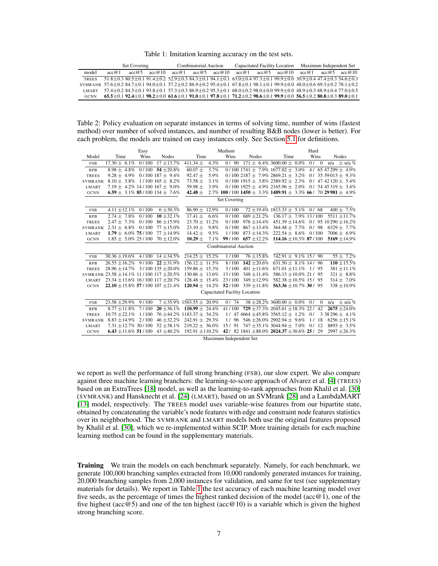Table 1: Imitation learning accuracy on the test sets.

|                                                                                                                                                                                         | <b>Set Covering</b>                                                                                                                                                                 |       |        |       | Combinatorial Auction |                                                                                                                                                                        |       |       | Capacitated Facility Location | Maximum Independent Set |       |        |  |
|-----------------------------------------------------------------------------------------------------------------------------------------------------------------------------------------|-------------------------------------------------------------------------------------------------------------------------------------------------------------------------------------|-------|--------|-------|-----------------------|------------------------------------------------------------------------------------------------------------------------------------------------------------------------|-------|-------|-------------------------------|-------------------------|-------|--------|--|
| model                                                                                                                                                                                   | acc@1                                                                                                                                                                               | acc@5 | acc@10 | acc@1 | acc@5                 | acc@10                                                                                                                                                                 | acc@1 | acc@5 | acc@10                        | acc@1                   | acc@5 | acc@10 |  |
| <b>TREES</b>                                                                                                                                                                            |                                                                                                                                                                                     |       |        |       |                       | $51.8 + 0.3$ $80.5 + 0.1$ $91.4 + 0.2$ $52.9 + 0.3$ $84.3 + 0.1$ $94.1 + 0.1$ $63.0 + 0.4$ $97.3 + 0.1$ $99.9 + 0.0$ $30.9 + 0.4$ $47.4 + 0.3$ $54.6 + 0.3$            |       |       |                               |                         |       |        |  |
| SVMRANK 57.6 ± 0.2 $84.7 \pm 0.1$ $94.0 \pm 0.1$ 57.2 $\pm 0.2$ $86.9 \pm 0.2$ $95.4 \pm 0.1$ $67.8 \pm 0.1$ $98.1 \pm 0.1$ $99.9 \pm 0.0$ $48.0 \pm 0.6$ $69.3 \pm 0.2$ $78.1 \pm 0.2$ |                                                                                                                                                                                     |       |        |       |                       |                                                                                                                                                                        |       |       |                               |                         |       |        |  |
| <b>LMART</b>                                                                                                                                                                            | $57.4 \pm 0.2$ $84.5 \pm 0.1$ $93.8 \pm 0.1$ $57.3 \pm 0.3$ $86.9 \pm 0.2$ $95.3 \pm 0.1$ $68.0 \pm 0.2$ $98.0 \pm 0.0$ $99.9 \pm 0.0$ $48.9 \pm 0.3$ $68.9 \pm 0.4$ $77.0 \pm 0.5$ |       |        |       |                       |                                                                                                                                                                        |       |       |                               |                         |       |        |  |
| <b>GCNN</b>                                                                                                                                                                             |                                                                                                                                                                                     |       |        |       |                       | $65.5\pm0.1$ 92.4 $\pm0.1$ 98.2 $\pm0.0$ 61.6 $\pm0.1$ 91.0 $\pm0.1$ 97.8 $\pm0.1$ 71.2 $\pm0.2$ 98.6 $\pm0.1$ 99.9 $\pm0.0$ 56.5 $\pm0.2$ 80.8 $\pm0.3$ 89.0 $\pm0.1$ |       |       |                               |                         |       |        |  |

Table 2: Policy evaluation on separate instances in terms of solving time, number of wins (fastest method) over number of solved instances, and number of resulting B&B nodes (lower is better). For each problem, the models are trained on easy instances only. See Section 5.1 for definitions.

|                |                                                    | Easy         |                                     |                                  | Hard    |                              |                                                                           |                                               |  |      |              |     |                          |
|----------------|----------------------------------------------------|--------------|-------------------------------------|----------------------------------|---------|------------------------------|---------------------------------------------------------------------------|-----------------------------------------------|--|------|--------------|-----|--------------------------|
| Model          | Time                                               | Wins         | Nodes                               | Time                             |         | Wins                         | Nodes                                                                     | Time                                          |  | Wins |              |     | Nodes                    |
| <b>FSB</b>     | $17.30 \pm 6.1\%$                                  | 0/100        | $17 + 13.7\%$                       | 411.34 $\pm$                     | 4.3%    | 0/90                         | $171 \pm 6.4\% 3600.00 \pm 0.0\%$                                         |                                               |  | 0/   | $\Omega$     | n/a | $\pm$ n/a %              |
| <b>RPB</b>     | $8.98 \pm 4.8\%$                                   | 0/100        | $54 + 20.8\%$                       | $60.07 +$                        | 3.7%    |                              | $0/100$ 1741 $\pm$ 7.9% 1677.02 $\pm$ 3.0%                                |                                               |  |      |              |     | 4/ 65 47 299 $\pm$ 4.9%  |
| <b>TREES</b>   | $9.28 \pm 4.9\%$                                   |              | $0/100187 \pm 9.4\%$                | $92.47 \pm$                      | 5.9%    |                              | $0/100$ 2187 $\pm$ 7.9% 2869.21 $\pm$ 3.2%                                |                                               |  |      |              |     | 0/ 35 59 013 $\pm$ 9.3%  |
| <b>SVMRANK</b> | $8.10 \pm 3.8\%$ 1/100 165 $\pm$ 8.2\%             |              |                                     | $73.58 \pm$                      | 3.1%    |                              | $0/100$ 1915 $\pm$ 3.8% 2389.92 $\pm$ 2.3%                                |                                               |  |      |              |     | 0 / 47 42 120 $\pm$ 5.4% |
| <b>LMART</b>   | $7.19 \pm 4.2\%$ 14/100 167 $\pm$ 9.0%             |              |                                     | 59.98 $\pm$                      | 3.9%    |                              | $0/100$ 1925 $\pm$ 4.9% 2165.96 $\pm$ 2.0%                                |                                               |  |      |              |     | 0 / 54 45 319 $\pm$ 3.4% |
| <b>GCNN</b>    | 6.59 $\pm$ 3.1% 85/100 134 $\pm$ 7.6%              |              |                                     | 42.48 $\pm$                      |         |                              | $2.7\%$ 100/100 1450 $\pm$ 3.3% 1489.91 $\pm$ 3.3% 66/70 29981 $\pm$ 4.9% |                                               |  |      |              |     |                          |
|                |                                                    | Set Covering |                                     |                                  |         |                              |                                                                           |                                               |  |      |              |     |                          |
| FSB            | $4.11 \pm 12.1\%$                                  | 0/100        | $6 + 30.3%$                         | $86.90 \pm 12.9\%$               |         | 0/100                        | $72 \pm 19.4\%$ 1813.33 $\pm$ 5.1%                                        |                                               |  | 0/68 |              |     | $400 \pm 7.5\%$          |
| <b>RPB</b>     | $2.74 \pm 7.8\%$                                   | 0/100        | $10 \pm 32.1\%$                     | $17.41 \pm$                      | 6.6%    | 0/100                        | $689 + 21.2%$                                                             | $136.17 \pm 7.9\%$ 13/100                     |  |      |              |     | $5511 \pm 11.7\%$        |
| <b>TREES</b>   | $2.47 \pm 7.3\%$                                   | 0/100        | $86 + 15.9\%$                       | $23.70 \pm 11.2\%$               |         | 0/100                        | $976 \pm 14.4\%$                                                          | $451.39 \pm 14.6\%$ 0/ 95 10 290 $\pm 16.2\%$ |  |      |              |     |                          |
| <b>SVMRANK</b> | $2.31 \pm 6.8\%$ 0/100                             |              | $77 \pm 15.0\%$                     | $23.10 \pm$                      | 9.8%    | 0/100                        | $867 \pm 13.4\%$                                                          | $364.48 \pm 7.7\%$                            |  | 0/98 |              |     | 6329 $\pm 7.7\%$         |
| <b>LMART</b>   | $1.79 \pm 6.0\%$ 75/100                            |              | $77 \pm 14.9\%$                     | $14.42 \pm$                      | 9.5%    | 1/100                        | $873 \pm 14.3\%$                                                          | $222.54 \pm 8.6\%$ 0/100                      |  |      |              |     | $7006 \pm 6.9\%$         |
| <b>GCNN</b>    | $1.85 \pm 5.0\%$ 25/100                            |              | $70 \pm 12.0\%$                     | $10.29 +$                        | $7.1\%$ | 99/100                       | 657 $\pm$ 12.2%                                                           | 114.16 $\pm$ 10.3% 87/100                     |  |      |              |     | 5169 $\pm$ 14.9%         |
|                |                                                    |              |                                     |                                  |         | <b>Combinatorial Auction</b> |                                                                           |                                               |  |      |              |     |                          |
| FSB            | $30.36 \pm 19.6\%$                                 | 4/100        | $14 + 34.5\%$                       | $214.25 \pm 15.2\%$              |         | 1/100                        | $76 + 15.8\%$                                                             | $742.91 \pm 9.1\% 15/90$                      |  |      |              |     | $55 \pm 7.2\%$           |
| <b>RPB</b>     | $26.55 \pm 16.2\%$                                 | 9/100        | $22 \pm 31.9\%$                     | $156.12 \pm 11.5\%$              |         | 8/100                        | $142 \pm 20.6\%$                                                          | $631.50 \pm 8.1\%$ 14/ 96                     |  |      |              |     | $110 \pm 15.5\%$         |
| <b>TREES</b>   | $28.96 \pm 14.7\%$ 3/100 135 $\pm 20.0\%$          |              |                                     | $159.86 \pm 15.3\%$              |         | 3/100                        | $401 \pm 11.6\%$                                                          | $671.01 \pm 11.1\%$ 1/95                      |  |      |              |     | $381 \pm 11.1\%$         |
|                | SVMRANK $23.58 \pm 14.1\%$ 11/100 117 $\pm 20.5\%$ |              |                                     | $130.86 + 13.6\%$                |         | 13/100                       | $348 \pm 11.4\%$                                                          | 586.13 $\pm$ 10.0% 21/95                      |  |      |              |     | $321 \pm 8.8\%$          |
| <b>LMART</b>   | $23.34 \pm 13.6\%$ 16/100 117 $\pm 20.7\%$         |              |                                     | $128.48 \pm 15.4\%$              |         | 23/100                       | $349 \pm 12.9\%$                                                          | $582.38 \pm 10.5\%$ 15 / 95                   |  |      |              |     | $314 \pm 7.0\%$          |
| <b>GCNN</b>    | 22.10 $\pm$ 15.8% 57/100 107 $\pm$ 21.4%           |              |                                     | $120.94 \pm 14.2\%$ 52/100       |         |                              | $339 \pm 11.8\%$                                                          | 563.36 $\pm$ 10.7% 30/95                      |  |      |              |     | 338 ±10.9%               |
|                |                                                    |              |                                     |                                  |         |                              | <b>Capacitated Facility Location</b>                                      |                                               |  |      |              |     |                          |
| FSB            | $23.58 \pm 29.9\%$                                 | 9/100        |                                     | $7 + 35.9\%$ 1503.55 $\pm$ 20.9% |         | 0/74                         | $38 \pm 28.2\%$ 3600.00 $\pm$ 0.0%                                        |                                               |  | 0/   | $\mathbf{0}$ | n/a | $\pm$ n/a %              |
| <b>RPB</b>     | $8.77 \pm 11.8\%$                                  | 7/100        | $20 \pm 36.1\%$                     | 110.99 $\pm$ 24.4%               |         | 41/100                       | 729 ± 37.3% 2045.61 ± 18.3% 22/ 42                                        |                                               |  |      |              |     | $2675 \pm 24.0\%$        |
| <b>TREES</b>   | $10.75 \pm 22.1\%$                                 | 1/100        | $76 \pm 44.2\%$ 1183.37 $\pm$ 34.2% |                                  |         |                              | $1/$ 47 4664 $\pm$ 45.8% 3565.12 $\pm$ 1.2% 0/                            |                                               |  |      |              |     | 3 38 296 $\pm$ 4.1%      |
| <b>SVMRANK</b> | $8.83 + 14.9\%$                                    | 2/100        | $46 + 32.2\%$                       | $242.91 + 29.3\%$                |         | 1/96                         | $546 + 26.0\%$ 2902.94 + 9.6%                                             |                                               |  | 1/18 |              |     | $6256 \pm 15.1\%$        |
| <b>LMART</b>   | $7.31 + 12.7\% 30/100$                             |              | $52 \pm 38.1\%$                     | $219.22 \pm 36.0\%$              |         | 15/<br>91                    | $747 + 35.1\%$ 3044.94 + 7.0%                                             |                                               |  | 0/12 |              |     | $8893 \pm 3.5\%$         |
| <b>GCNN</b>    | 6.43 $\pm$ 11.6% 51/100                            |              | $43 \pm 40.2\%$                     | $192.91 \pm 110.2\%$             |         |                              | 42/ 82 1841 $\pm$ 88.0% 2024.37 $\pm$ 30.6% 25/ 29                        |                                               |  |      |              |     | $2997 \pm 26.3\%$        |
|                |                                                    |              |                                     |                                  |         | Maximum Independent Set      |                                                                           |                                               |  |      |              |     |                          |

we report as well the performance of full strong branching (FSB), our slow expert. We also compare against three machine learning branchers: the learning-to-score approach of Alvarez et al. [4] (TREES) based on an ExtraTrees [18] model, as well as the learning-to-rank approaches from Khalil et al. [30] (SVMRANK) and Hansknecht et al. [24] (LMART), based on an SVMrank [28] and a LambdaMART [13] model, respectively. The TREES model uses variable-wise features from our bipartite state, obtained by concatenating the variable's node features with edge and constraint node features statistics over its neighborhood. The SVMRANK and LMART models both use the original features proposed by Khalil et al. [30], which we re-implemented within SCIP. More training details for each machine learning method can be found in the supplementary materials.

Training We train the models on each benchmark separately. Namely, for each benchmark, we generate 100,000 branching samples extracted from 10,000 randomly generated instances for training, 20,000 branching samples from 2,000 instances for validation, and same for test (see supplementary materials for details). We report in Table 1 the test accuracy of each machine learning model over five seeds, as the percentage of times the highest ranked decision of the model ( $\arccos(0.1)$ , one of the five highest (acc $\circledcirc$ 5) and one of the ten highest (acc $\circledcirc$ 10) is a variable which is given the highest strong branching score.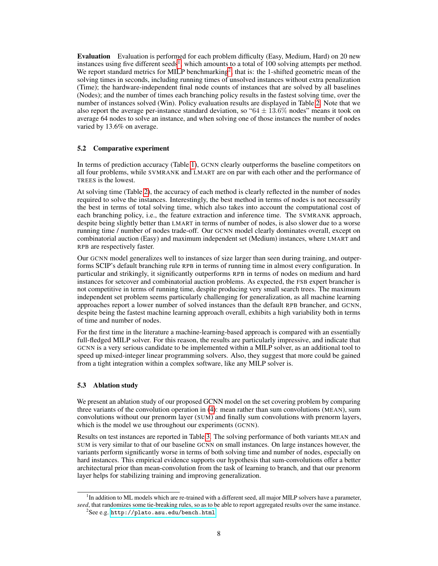Evaluation Evaluation is performed for each problem difficulty (Easy, Medium, Hard) on 20 new instances using five different seeds<sup>1</sup>, which amounts to a total of 100 solving attempts per method. We report standard metrics for MILP benchmarking<sup>2</sup>, that is: the 1-shifted geometric mean of the solving times in seconds, including running times of unsolved instances without extra penalization (Time); the hardware-independent final node counts of instances that are solved by all baselines (Nodes); and the number of times each branching policy results in the fastest solving time, over the number of instances solved (Win). Policy evaluation results are displayed in Table 2. Note that we also report the average per-instance standard deviation, so " $64 \pm 13.6\%$  nodes" means it took on average 64 nodes to solve an instance, and when solving one of those instances the number of nodes varied by 13.6% on average.

### 5.2 Comparative experiment

In terms of prediction accuracy (Table 1), GCNN clearly outperforms the baseline competitors on all four problems, while SVMRANK and LMART are on par with each other and the performance of TREES is the lowest.

At solving time (Table 2), the accuracy of each method is clearly reflected in the number of nodes required to solve the instances. Interestingly, the best method in terms of nodes is not necessarily the best in terms of total solving time, which also takes into account the computational cost of each branching policy, i.e., the feature extraction and inference time. The SVMRANK approach, despite being slightly better than LMART in terms of number of nodes, is also slower due to a worse running time / number of nodes trade-off. Our GCNN model clearly dominates overall, except on combinatorial auction (Easy) and maximum independent set (Medium) instances, where LMART and RPB are respectively faster.

Our GCNN model generalizes well to instances of size larger than seen during training, and outperforms SCIP's default branching rule RPB in terms of running time in almost every configuration. In particular and strikingly, it significantly outperforms RPB in terms of nodes on medium and hard instances for setcover and combinatorial auction problems. As expected, the FSB expert brancher is not competitive in terms of running time, despite producing very small search trees. The maximum independent set problem seems particularly challenging for generalization, as all machine learning approaches report a lower number of solved instances than the default RPB brancher, and GCNN, despite being the fastest machine learning approach overall, exhibits a high variability both in terms of time and number of nodes.

For the first time in the literature a machine-learning-based approach is compared with an essentially full-fledged MILP solver. For this reason, the results are particularly impressive, and indicate that GCNN is a very serious candidate to be implemented within a MILP solver, as an additional tool to speed up mixed-integer linear programming solvers. Also, they suggest that more could be gained from a tight integration within a complex software, like any MILP solver is.

## 5.3 Ablation study

We present an ablation study of our proposed GCNN model on the set covering problem by comparing three variants of the convolution operation in (4): mean rather than sum convolutions (MEAN), sum convolutions without our prenorm layer (SUM) and finally sum convolutions with prenorm layers, which is the model we use throughout our experiments (GCNN).

Results on test instances are reported in Table 3. The solving performance of both variants MEAN and SUM is very similar to that of our baseline GCNN on small instances. On large instances however, the variants perform significantly worse in terms of both solving time and number of nodes, especially on hard instances. This empirical evidence supports our hypothesis that sum-convolutions offer a better architectural prior than mean-convolution from the task of learning to branch, and that our prenorm layer helps for stabilizing training and improving generalization.

<sup>&</sup>lt;sup>1</sup>In addition to ML models which are re-trained with a different seed, all major MILP solvers have a parameter, *seed*, that randomizes some tie-breaking rules, so as to be able to report aggregated results over the same instance.

 $^{2}$ See e.g. <http://plato.asu.edu/bench.html>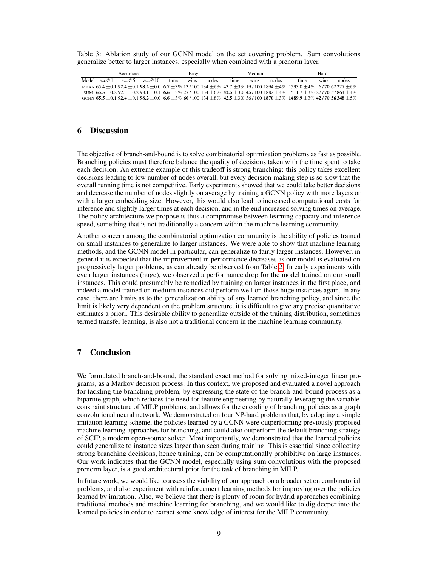Table 3: Ablation study of our GCNN model on the set covering problem. Sum convolutions generalize better to larger instances, especially when combined with a prenorm layer.

| Accuracies |       |       |        | Easy |             |       |      | Medium      |       | Hard                                                                                                                                                       |             |       |  |
|------------|-------|-------|--------|------|-------------|-------|------|-------------|-------|------------------------------------------------------------------------------------------------------------------------------------------------------------|-------------|-------|--|
| Model      | acc@1 | acc@5 | acc@10 | time | <b>Wins</b> | nodes | time | <b>Wins</b> | nodes | time                                                                                                                                                       | <b>WINS</b> | nodes |  |
|            |       |       |        |      |             |       |      |             |       | MEAN $65.4 + 0.1$ 92.4 $+ 0.1$ 98.2 $+ 0.0$ 6.7 $+ 3\%$ 13/100 134 $+ 6\%$ 43.7 $+ 3\%$ 19/100 1894 $+ 4\%$ 1593.0 $+ 4\%$ 6/70 62227 $+ 6\%$              |             |       |  |
|            |       |       |        |      |             |       |      |             |       | $51.5 + 0.292.3 + 0.298.1 + 0.1$ 6.6 + 3% 27/100 134 + 6% 42.5 + 3% 45/100 1882 + 4% 1511.7 + 3% 22/70 57864 + 4%                                          |             |       |  |
|            |       |       |        |      |             |       |      |             |       | GCNN 65.5 $\pm$ 0.1 92.4 $\pm$ 0.1 98.2 $\pm$ 0.0 6.6 $\pm$ 3% 60/100 134 $\pm$ 8% 42.5 $\pm$ 3% 36/100 1870 $\pm$ 3% 1489.9 $\pm$ 3% 42/70 56348 $\pm$ 5% |             |       |  |

# 6 Discussion

The objective of branch-and-bound is to solve combinatorial optimization problems as fast as possible. Branching policies must therefore balance the quality of decisions taken with the time spent to take each decision. An extreme example of this tradeoff is strong branching: this policy takes excellent decisions leading to low number of nodes overall, but every decision-making step is so slow that the overall running time is not competitive. Early experiments showed that we could take better decisions and decrease the number of nodes slightly on average by training a GCNN policy with more layers or with a larger embedding size. However, this would also lead to increased computational costs for inference and slightly larger times at each decision, and in the end increased solving times on average. The policy architecture we propose is thus a compromise between learning capacity and inference speed, something that is not traditionally a concern within the machine learning community.

Another concern among the combinatorial optimization community is the ability of policies trained on small instances to generalize to larger instances. We were able to show that machine learning methods, and the GCNN model in particular, can generalize to fairly larger instances. However, in general it is expected that the improvement in performance decreases as our model is evaluated on progressively larger problems, as can already be observed from Table 2. In early experiments with even larger instances (huge), we observed a performance drop for the model trained on our small instances. This could presumably be remedied by training on larger instances in the first place, and indeed a model trained on medium instances did perform well on those huge instances again. In any case, there are limits as to the generalization ability of any learned branching policy, and since the limit is likely very dependent on the problem structure, it is difficult to give any precise quantitative estimates a priori. This desirable ability to generalize outside of the training distribution, sometimes termed transfer learning, is also not a traditional concern in the machine learning community.

# 7 Conclusion

We formulated branch-and-bound, the standard exact method for solving mixed-integer linear programs, as a Markov decision process. In this context, we proposed and evaluated a novel approach for tackling the branching problem, by expressing the state of the branch-and-bound process as a bipartite graph, which reduces the need for feature engineering by naturally leveraging the variableconstraint structure of MILP problems, and allows for the encoding of branching policies as a graph convolutional neural network. We demonstrated on four NP-hard problems that, by adopting a simple imitation learning scheme, the policies learned by a GCNN were outperforming previously proposed machine learning approaches for branching, and could also outperform the default branching strategy of SCIP, a modern open-source solver. Most importantly, we demonstrated that the learned policies could generalize to instance sizes larger than seen during training. This is essential since collecting strong branching decisions, hence training, can be computationally prohibitive on large instances. Our work indicates that the GCNN model, especially using sum convolutions with the proposed prenorm layer, is a good architectural prior for the task of branching in MILP.

In future work, we would like to assess the viability of our approach on a broader set on combinatorial problems, and also experiment with reinforcement learning methods for improving over the policies learned by imitation. Also, we believe that there is plenty of room for hydrid approaches combining traditional methods and machine learning for branching, and we would like to dig deeper into the learned policies in order to extract some knowledge of interest for the MILP community.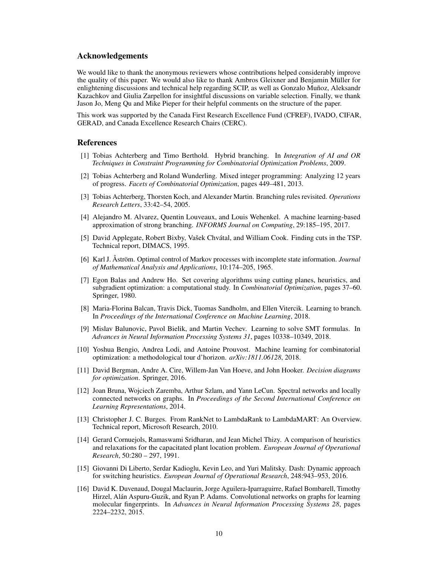## Acknowledgements

We would like to thank the anonymous reviewers whose contributions helped considerably improve the quality of this paper. We would also like to thank Ambros Gleixner and Benjamin Müller for enlightening discussions and technical help regarding SCIP, as well as Gonzalo Muñoz, Aleksandr Kazachkov and Giulia Zarpellon for insightful discussions on variable selection. Finally, we thank Jason Jo, Meng Qu and Mike Pieper for their helpful comments on the structure of the paper.

This work was supported by the Canada First Research Excellence Fund (CFREF), IVADO, CIFAR, GERAD, and Canada Excellence Research Chairs (CERC).

## References

- [1] Tobias Achterberg and Timo Berthold. Hybrid branching. In *Integration of AI and OR Techniques in Constraint Programming for Combinatorial Optimization Problems*, 2009.
- [2] Tobias Achterberg and Roland Wunderling. Mixed integer programming: Analyzing 12 years of progress. *Facets of Combinatorial Optimization*, pages 449–481, 2013.
- [3] Tobias Achterberg, Thorsten Koch, and Alexander Martin. Branching rules revisited. *Operations Research Letters*, 33:42–54, 2005.
- [4] Alejandro M. Alvarez, Quentin Louveaux, and Louis Wehenkel. A machine learning-based approximation of strong branching. *INFORMS Journal on Computing*, 29:185–195, 2017.
- [5] David Applegate, Robert Bixby, Vašek Chvátal, and William Cook. Finding cuts in the TSP. Technical report, DIMACS, 1995.
- [6] Karl J. Åström. Optimal control of Markov processes with incomplete state information. *Journal of Mathematical Analysis and Applications*, 10:174–205, 1965.
- [7] Egon Balas and Andrew Ho. Set covering algorithms using cutting planes, heuristics, and subgradient optimization: a computational study. In *Combinatorial Optimization*, pages 37–60. Springer, 1980.
- [8] Maria-Florina Balcan, Travis Dick, Tuomas Sandholm, and Ellen Vitercik. Learning to branch. In *Proceedings of the International Conference on Machine Learning*, 2018.
- [9] Mislav Balunovic, Pavol Bielik, and Martin Vechev. Learning to solve SMT formulas. In *Advances in Neural Information Processing Systems 31*, pages 10338–10349, 2018.
- [10] Yoshua Bengio, Andrea Lodi, and Antoine Prouvost. Machine learning for combinatorial optimization: a methodological tour d'horizon. *arXiv:1811.06128*, 2018.
- [11] David Bergman, Andre A. Cire, Willem-Jan Van Hoeve, and John Hooker. *Decision diagrams for optimization*. Springer, 2016.
- [12] Joan Bruna, Wojciech Zaremba, Arthur Szlam, and Yann LeCun. Spectral networks and locally connected networks on graphs. In *Proceedings of the Second International Conference on Learning Representations*, 2014.
- [13] Christopher J. C. Burges. From RankNet to LambdaRank to LambdaMART: An Overview. Technical report, Microsoft Research, 2010.
- [14] Gerard Cornuejols, Ramaswami Sridharan, and Jean Michel Thizy. A comparison of heuristics and relaxations for the capacitated plant location problem. *European Journal of Operational Research*, 50:280 – 297, 1991.
- [15] Giovanni Di Liberto, Serdar Kadioglu, Kevin Leo, and Yuri Malitsky. Dash: Dynamic approach for switching heuristics. *European Journal of Operational Research*, 248:943–953, 2016.
- [16] David K. Duvenaud, Dougal Maclaurin, Jorge Aguilera-Iparraguirre, Rafael Bombarell, Timothy Hirzel, Alán Aspuru-Guzik, and Ryan P. Adams. Convolutional networks on graphs for learning molecular fingerprints. In *Advances in Neural Information Processing Systems 28*, pages 2224–2232, 2015.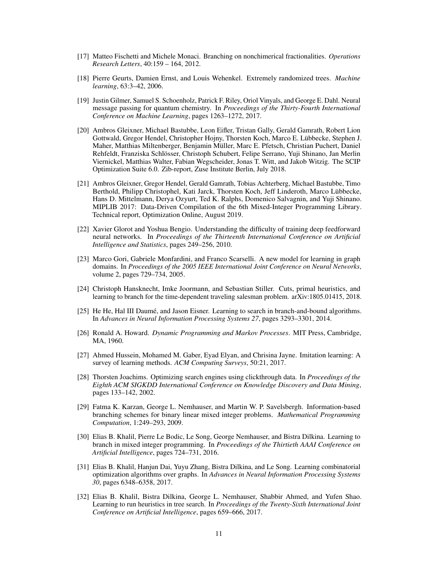- [17] Matteo Fischetti and Michele Monaci. Branching on nonchimerical fractionalities. *Operations Research Letters*, 40:159 – 164, 2012.
- [18] Pierre Geurts, Damien Ernst, and Louis Wehenkel. Extremely randomized trees. *Machine learning*, 63:3–42, 2006.
- [19] Justin Gilmer, Samuel S. Schoenholz, Patrick F. Riley, Oriol Vinyals, and George E. Dahl. Neural message passing for quantum chemistry. In *Proceedings of the Thirty-Fourth International Conference on Machine Learning*, pages 1263–1272, 2017.
- [20] Ambros Gleixner, Michael Bastubbe, Leon Eifler, Tristan Gally, Gerald Gamrath, Robert Lion Gottwald, Gregor Hendel, Christopher Hojny, Thorsten Koch, Marco E. Lübbecke, Stephen J. Maher, Matthias Miltenberger, Benjamin Müller, Marc E. Pfetsch, Christian Puchert, Daniel Rehfeldt, Franziska Schlösser, Christoph Schubert, Felipe Serrano, Yuji Shinano, Jan Merlin Viernickel, Matthias Walter, Fabian Wegscheider, Jonas T. Witt, and Jakob Witzig. The SCIP Optimization Suite 6.0. Zib-report, Zuse Institute Berlin, July 2018.
- [21] Ambros Gleixner, Gregor Hendel, Gerald Gamrath, Tobias Achterberg, Michael Bastubbe, Timo Berthold, Philipp Christophel, Kati Jarck, Thorsten Koch, Jeff Linderoth, Marco Lübbecke, Hans D. Mittelmann, Derya Ozyurt, Ted K. Ralphs, Domenico Salvagnin, and Yuji Shinano. MIPLIB 2017: Data-Driven Compilation of the 6th Mixed-Integer Programming Library. Technical report, Optimization Online, August 2019.
- [22] Xavier Glorot and Yoshua Bengio. Understanding the difficulty of training deep feedforward neural networks. In *Proceedings of the Thirteenth International Conference on Artificial Intelligence and Statistics*, pages 249–256, 2010.
- [23] Marco Gori, Gabriele Monfardini, and Franco Scarselli. A new model for learning in graph domains. In *Proceedings of the 2005 IEEE International Joint Conference on Neural Networks*, volume 2, pages 729–734, 2005.
- [24] Christoph Hansknecht, Imke Joormann, and Sebastian Stiller. Cuts, primal heuristics, and learning to branch for the time-dependent traveling salesman problem. arXiv:1805.01415, 2018.
- [25] He He, Hal III Daumé, and Jason Eisner. Learning to search in branch-and-bound algorithms. In *Advances in Neural Information Processing Systems 27*, pages 3293–3301, 2014.
- [26] Ronald A. Howard. *Dynamic Programming and Markov Processes*. MIT Press, Cambridge, MA, 1960.
- [27] Ahmed Hussein, Mohamed M. Gaber, Eyad Elyan, and Chrisina Jayne. Imitation learning: A survey of learning methods. *ACM Computing Surveys*, 50:21, 2017.
- [28] Thorsten Joachims. Optimizing search engines using clickthrough data. In *Proceedings of the Eighth ACM SIGKDD International Conference on Knowledge Discovery and Data Mining*, pages 133–142, 2002.
- [29] Fatma K. Karzan, George L. Nemhauser, and Martin W. P. Savelsbergh. Information-based branching schemes for binary linear mixed integer problems. *Mathematical Programming Computation*, 1:249–293, 2009.
- [30] Elias B. Khalil, Pierre Le Bodic, Le Song, George Nemhauser, and Bistra Dilkina. Learning to branch in mixed integer programming. In *Proceedings of the Thirtieth AAAI Conference on Artificial Intelligence*, pages 724–731, 2016.
- [31] Elias B. Khalil, Hanjun Dai, Yuyu Zhang, Bistra Dilkina, and Le Song. Learning combinatorial optimization algorithms over graphs. In *Advances in Neural Information Processing Systems 30*, pages 6348–6358, 2017.
- [32] Elias B. Khalil, Bistra Dilkina, George L. Nemhauser, Shabbir Ahmed, and Yufen Shao. Learning to run heuristics in tree search. In *Proceedings of the Twenty-Sixth International Joint Conference on Artificial Intelligence*, pages 659–666, 2017.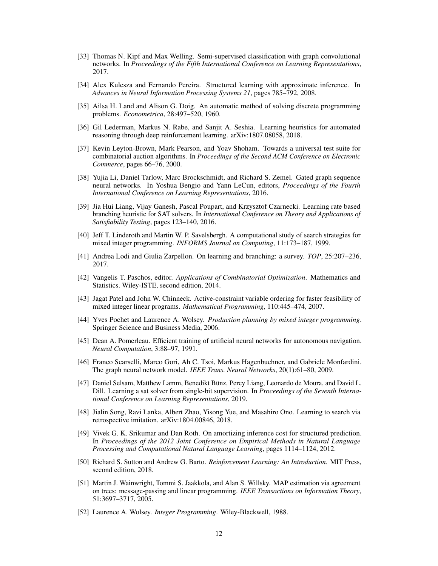- [33] Thomas N. Kipf and Max Welling. Semi-supervised classification with graph convolutional networks. In *Proceedings of the Fifth International Conference on Learning Representations*, 2017.
- [34] Alex Kulesza and Fernando Pereira. Structured learning with approximate inference. In *Advances in Neural Information Processing Systems 21*, pages 785–792, 2008.
- [35] Ailsa H. Land and Alison G. Doig. An automatic method of solving discrete programming problems. *Econometrica*, 28:497–520, 1960.
- [36] Gil Lederman, Markus N. Rabe, and Sanjit A. Seshia. Learning heuristics for automated reasoning through deep reinforcement learning. arXiv:1807.08058, 2018.
- [37] Kevin Leyton-Brown, Mark Pearson, and Yoav Shoham. Towards a universal test suite for combinatorial auction algorithms. In *Proceedings of the Second ACM Conference on Electronic Commerce*, pages 66–76, 2000.
- [38] Yujia Li, Daniel Tarlow, Marc Brockschmidt, and Richard S. Zemel. Gated graph sequence neural networks. In Yoshua Bengio and Yann LeCun, editors, *Proceedings of the Fourth International Conference on Learning Representations*, 2016.
- [39] Jia Hui Liang, Vijay Ganesh, Pascal Poupart, and Krzysztof Czarnecki. Learning rate based branching heuristic for SAT solvers. In *International Conference on Theory and Applications of Satisfiability Testing*, pages 123–140, 2016.
- [40] Jeff T. Linderoth and Martin W. P. Savelsbergh. A computational study of search strategies for mixed integer programming. *INFORMS Journal on Computing*, 11:173–187, 1999.
- [41] Andrea Lodi and Giulia Zarpellon. On learning and branching: a survey. *TOP*, 25:207–236, 2017.
- [42] Vangelis T. Paschos, editor. *Applications of Combinatorial Optimization*. Mathematics and Statistics. Wiley-ISTE, second edition, 2014.
- [43] Jagat Patel and John W. Chinneck. Active-constraint variable ordering for faster feasibility of mixed integer linear programs. *Mathematical Programming*, 110:445–474, 2007.
- [44] Yves Pochet and Laurence A. Wolsey. *Production planning by mixed integer programming*. Springer Science and Business Media, 2006.
- [45] Dean A. Pomerleau. Efficient training of artificial neural networks for autonomous navigation. *Neural Computation*, 3:88–97, 1991.
- [46] Franco Scarselli, Marco Gori, Ah C. Tsoi, Markus Hagenbuchner, and Gabriele Monfardini. The graph neural network model. *IEEE Trans. Neural Networks*, 20(1):61–80, 2009.
- [47] Daniel Selsam, Matthew Lamm, Benedikt Bünz, Percy Liang, Leonardo de Moura, and David L. Dill. Learning a sat solver from single-bit supervision. In *Proceedings of the Seventh International Conference on Learning Representations*, 2019.
- [48] Jialin Song, Ravi Lanka, Albert Zhao, Yisong Yue, and Masahiro Ono. Learning to search via retrospective imitation. arXiv:1804.00846, 2018.
- [49] Vivek G. K. Srikumar and Dan Roth. On amortizing inference cost for structured prediction. In *Proceedings of the 2012 Joint Conference on Empirical Methods in Natural Language Processing and Computational Natural Language Learning*, pages 1114–1124, 2012.
- [50] Richard S. Sutton and Andrew G. Barto. *Reinforcement Learning: An Introduction*. MIT Press, second edition, 2018.
- [51] Martin J. Wainwright, Tommi S. Jaakkola, and Alan S. Willsky. MAP estimation via agreement on trees: message-passing and linear programming. *IEEE Transactions on Information Theory*, 51:3697–3717, 2005.
- [52] Laurence A. Wolsey. *Integer Programming*. Wiley-Blackwell, 1988.